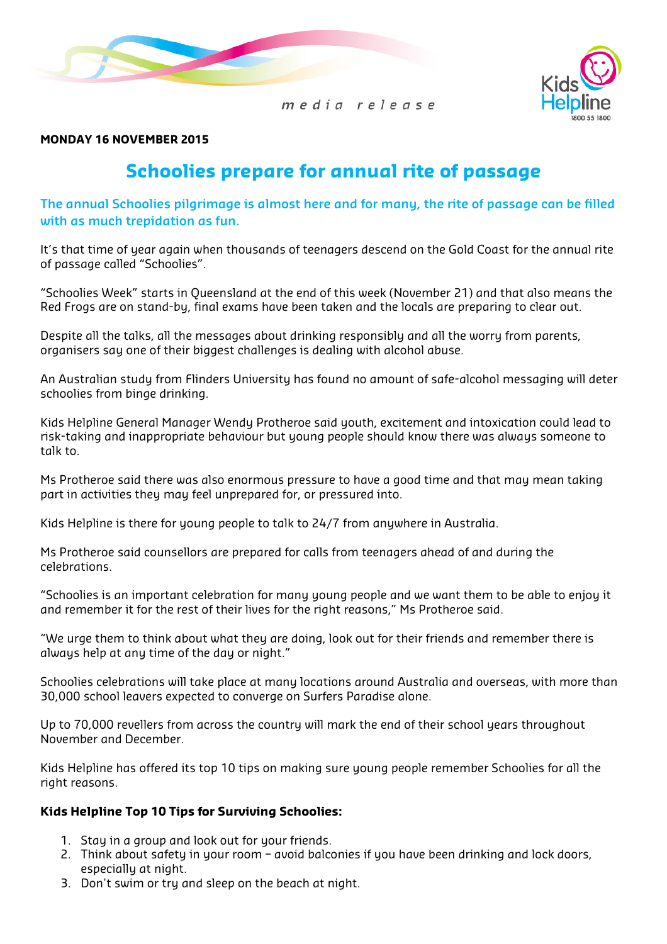



MONDAY 16 NOVEMBER 2015

# Schoolies prepare for annual rite of passage

The annual Schoolies pilgrimage is almost here and for many, the rite of passage can be filled with as much trepidation as fun.

It's that time of year again when thousands of teenagers descend on the Gold Coast for the annual rite of passage called "Schoolies".

"Schoolies Week" starts in Queensland at the end of this week (November 21) and that also means the Red Frogs are on stand-by, final exams have been taken and the locals are preparing to clear out.

Despite all the talks, all the messages about drinking responsibly and all the worry from parents, organisers say one of their biggest challenges is dealing with alcohol abuse.

An Australian study from Flinders University has found no amount of safe-alcohol messaging will deter schoolies from binge drinking.

Kids Helpline General Manager Wendy Protheroe said youth, excitement and intoxication could lead to risk-taking and inappropriate behaviour but young people should know there was always someone to talk to.

Ms Protheroe said there was also enormous pressure to have a good time and that may mean taking part in activities they may feel unprepared for, or pressured into.

Kids Helpline is there for young people to talk to 24/7 from anywhere in Australia.

Ms Protheroe said counsellors are prepared for calls from teenagers ahead of and during the celebrations.

"Schoolies is an important celebration for many young people and we want them to be able to enjoy it and remember it for the rest of their lives for the right reasons," Ms Protheroe said.

"We urge them to think about what they are doing, look out for their friends and remember there is always help at any time of the day or night."

Schoolies celebrations will take place at many locations around Australia and overseas, with more than 30,000 school leavers expected to converge on Surfers Paradise alone.

Up to 70,000 revellers from across the country will mark the end of their school years throughout November and December.

Kids Helpline has offered its top 10 tips on making sure young people remember Schoolies for all the right reasons.

#### Kids Helpline Top 10 Tips for Surviving Schoolies:

- 1. Stay in a group and look out for your friends.
- 2. Think about safety in your room avoid balconies if you have been drinking and lock doors, especially at night.
- 3. Don't swim or try and sleep on the beach at night.